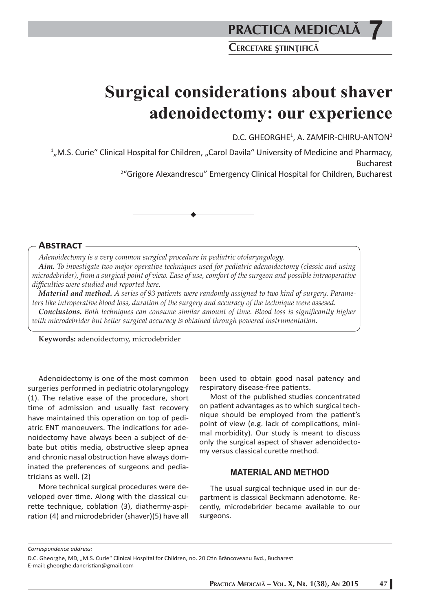# **PRACTICA MEDICALÅ**

**7**

**CERCETARE <sup>Ş</sup>TIINºIFICÅ**

# **Surgical considerations about shaver adenoidectomy: our experience**

D.C. GHEORGHE<sup>1</sup>, A. ZAMFIR-CHIRU-ANTON<sup>2</sup>

<sup>1</sup>,, M.S. Curie" Clinical Hospital for Children, "Carol Davila" University of Medicine and Pharmacy,

Bucharest 2 "Grigore Alexandrescu" Emergency Clinical Hospital for Children, Bucharest

#### **ABSTRACT**

*Adenoidectomy is a very common surgical procedure in pediatric otolaryngology.*

*Aim. To investigate two major operative techniques used for pediatric adenoidectomy (classic and using microdebrider), from a surgical point of view. Ease of use, comfort of the surgeon and possible intraoperative diffi culties were studied and reported here.* 

*Material and method. A series of 93 patients were randomly assigned to two kind of surgery. Parameters like introperative blood loss, duration of the surgery and accuracy of the technique were assesed.*  **Conclusions.** Both techniques can consume similar amount of time. Blood loss is significantly higher with microdebrider but better surgical accuracy is obtained through powered instrumentation.

**Keywords:** adenoidectomy, microdebrider

Adenoidectomy is one of the most common surgeries performed in pediatric otolaryngology  $(1)$ . The relative ease of the procedure, short time of admission and usually fast recovery have maintained this operation on top of pediatric ENT manoeuvers. The indications for adenoidectomy have always been a subject of debate but otitis media, obstructive sleep apnea and chronic nasal obstruction have always dominated the preferences of surgeons and pediatricians as well. (2)

More technical surgical procedures were developed over time. Along with the classical curette technique, coblation (3), diathermy-aspiration (4) and microdebrider (shaver)(5) have all been used to obtain good nasal patency and respiratory disease-free patients.

Most of the published studies concentrated on patient advantages as to which surgical technique should be employed from the patient's point of view (e.g. lack of complications, minimal morbidity). Our study is meant to discuss only the surgical aspect of shaver adenoidectomy versus classical curette method.

## **MATERIAL AND METHOD**

The usual surgical technique used in our department is classical Beckmann adenotome. Recently, microdebrider became available to our surgeons.

*Correspondence address:* 

D.C. Gheorghe, MD, "M.S. Curie" Clinical Hospital for Children, no. 20 Ctin Brâncoveanu Bvd., Bucharest E-mail: gheorghe.dancristian@gmail.com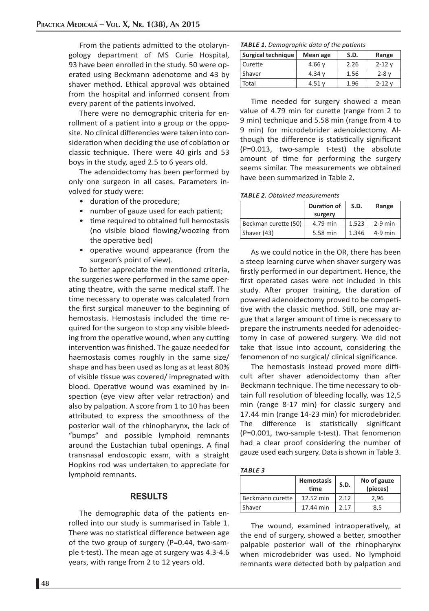From the patients admitted to the otolaryngology department of MS Curie Hospital, 93 have been enrolled in the study. 50 were operated using Beckmann adenotome and 43 by shaver method. Ethical approval was obtained from the hospital and informed consent from every parent of the patients involved.

There were no demographic criteria for enrollment of a patient into a group or the opposite. No clinical differencies were taken into consideration when deciding the use of coblation or classic technique. There were 40 girls and 53 boys in the study, aged 2.5 to 6 years old.

The adenoidectomy has been performed by only one surgeon in all cases. Parameters involved for study were:

- duration of the procedure;
- number of gauze used for each patient;
- time required to obtained full hemostasis (no visible blood flowing/woozing from the operative bed)
- operative wound appearance (from the surgeon's point of view).

To better appreciate the mentioned criteria, the surgeries were performed in the same operating theatre, with the same medical staff. The time necessary to operate was calculated from the first surgical maneuver to the beginning of hemostasis. Hemostasis included the time required for the surgeon to stop any visible bleeding from the operative wound, when any cutting intervention was finished. The gauze needed for haemostasis comes roughly in the same size/ shape and has been used as long as at least 80% of visible tissue was covered/ impregnated with blood. Operative wound was examined by inspection (eye view after velar retraction) and also by palpation. A score from 1 to 10 has been attributed to express the smoothness of the posterior wall of the rhinopharynx, the lack of "bumps" and possible lymphoid remnants around the Eustachian tubal openings. A final transnasal endoscopic exam, with a straight Hopkins rod was undertaken to appreciate for lymphoid remnants.

### **RESULTS**

The demographic data of the patients enrolled into our study is summarised in Table 1. There was no statistical difference between age of the two group of surgery (P=0.44, two-sample t-test). The mean age at surgery was 4.3-4.6 years, with range from 2 to 12 years old.

*TABLE 1. Demographic data of the patients* 

| Surgical technique | S.D.<br>Mean age |      | Range      |
|--------------------|------------------|------|------------|
| Curette            | 4.66 $v$         | 2.26 | $2 - 12$ v |
| . Shaver           | 4.34 $v$         | 1.56 | $2 - 8$ v  |
| Total              | 4.51v            | 1.96 | $2 - 12$ v |

Time needed for surgery showed a mean value of 4.79 min for curette (range from 2 to 9 min) technique and 5.58 min (range from 4 to 9 min) for microdebrider adenoidectomy. Although the difference is statistically significant (P=0.013, two-sample t-test) the absolute amount of time for performing the surgery seems similar. The measurements we obtained have been summarized in Table 2.

*TABLE 2. Obtained measurements*

|                      | Duration of | S.D.  | Range     |
|----------------------|-------------|-------|-----------|
|                      | surgery     |       |           |
| Beckman curette (50) | 4.79 min    | 1.523 | $2-9$ min |
| Shaver (43)          | 5.58 min    | 1.346 | $4-9$ min |

As we could notice in the OR, there has been a steep learning curve when shaver surgery was firstly performed in our department. Hence, the first operated cases were not included in this study. After proper training, the duration of powered adenoidectomy proved to be competitive with the classic method. Still, one may argue that a larger amount of time is necessary to prepare the instruments needed for adenoidectomy in case of powered surgery. We did not take that issue into account, considering the fenomenon of no surgical/ clinical significance.

The hemostasis instead proved more difficult after shaver adenoidectomy than after Beckmann technique. The time necessary to obtain full resolution of bleeding locally, was 12,5 min (range 8-17 min) for classic surgery and 17.44 min (range 14-23 min) for microdebrider. The difference is statistically significant (P=0.001, two-sample t-test). That fenomenon had a clear proof considering the number of gauze used each surgery. Data is shown in Table 3.

|--|--|--|--|

|                  | <b>Hemostasis</b><br>time | S.D.  | No of gauze<br>(pieces) |
|------------------|---------------------------|-------|-------------------------|
| Beckmann curette | 12.52 min                 | 2 1 2 | 2.96                    |
| Shaver           | 17.44 min                 | 2 1 7 | 8.5                     |

The wound, examined intraoperatively, at the end of surgery, showed a better, smoother palpable posterior wall of the rhinopharynx when microdebrider was used. No lymphoid remnants were detected both by palpation and